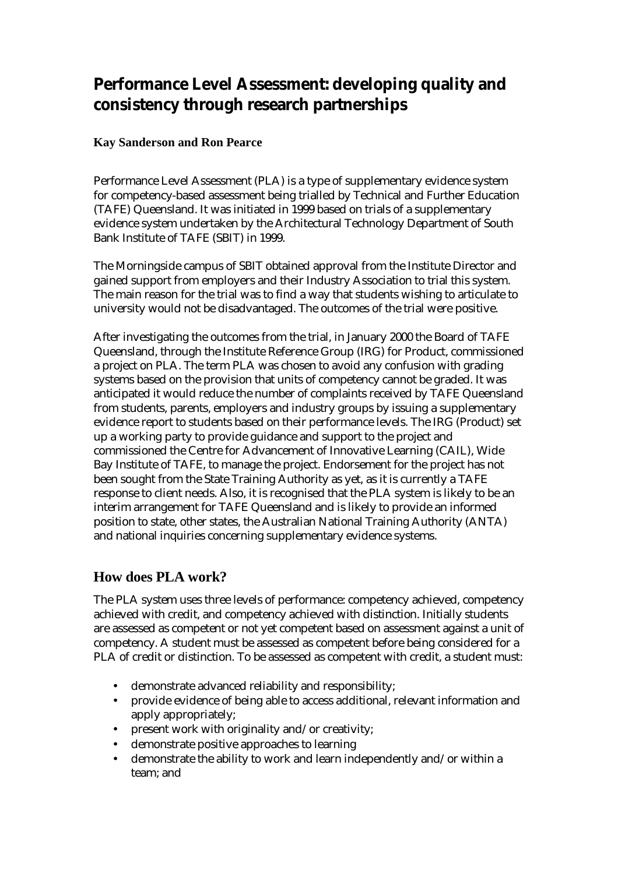# **Performance Level Assessment: developing quality and consistency through research partnerships**

### **Kay Sanderson and Ron Pearce**

Performance Level Assessment (PLA) is a type of supplementary evidence system for competency-based assessment being trialled by Technical and Further Education (TAFE) Queensland. It was initiated in 1999 based on trials of a supplementary evidence system undertaken by the Architectural Technology Department of South Bank Institute of TAFE (SBIT) in 1999.

The Morningside campus of SBIT obtained approval from the Institute Director and gained support from employers and their Industry Association to trial this system. The main reason for the trial was to find a way that students wishing to articulate to university would not be disadvantaged. The outcomes of the trial were positive.

After investigating the outcomes from the trial, in January 2000 the Board of TAFE Queensland, through the Institute Reference Group (IRG) for Product, commissioned a project on PLA. The term PLA was chosen to avoid any confusion with grading systems based on the provision that units of competency cannot be graded. It was anticipated it would reduce the number of complaints received by TAFE Queensland from students, parents, employers and industry groups by issuing a supplementary evidence report to students based on their performance levels. The IRG (Product) set up a working party to provide guidance and support to the project and commissioned the Centre for Advancement of Innovative Learning (CAIL), Wide Bay Institute of TAFE, to manage the project. Endorsement for the project has not been sought from the State Training Authority as yet, as it is currently a TAFE response to client needs. Also, it is recognised that the PLA system is likely to be an interim arrangement for TAFE Queensland and is likely to provide an informed position to state, other states, the Australian National Training Authority (ANTA) and national inquiries concerning supplementary evidence systems.

## **How does PLA work?**

The PLA system uses three levels of performance: competency achieved, competency achieved with credit, and competency achieved with distinction. Initially students are assessed as competent or not yet competent based on assessment against a unit of competency. A student must be assessed as competent before being considered for a PLA of credit or distinction. To be assessed as competent with credit, a student must:

- demonstrate advanced reliability and responsibility;
- provide evidence of being able to access additional, relevant information and apply appropriately;
- present work with originality and/or creativity;
- demonstrate positive approaches to learning
- demonstrate the ability to work and learn independently and/or within a team; and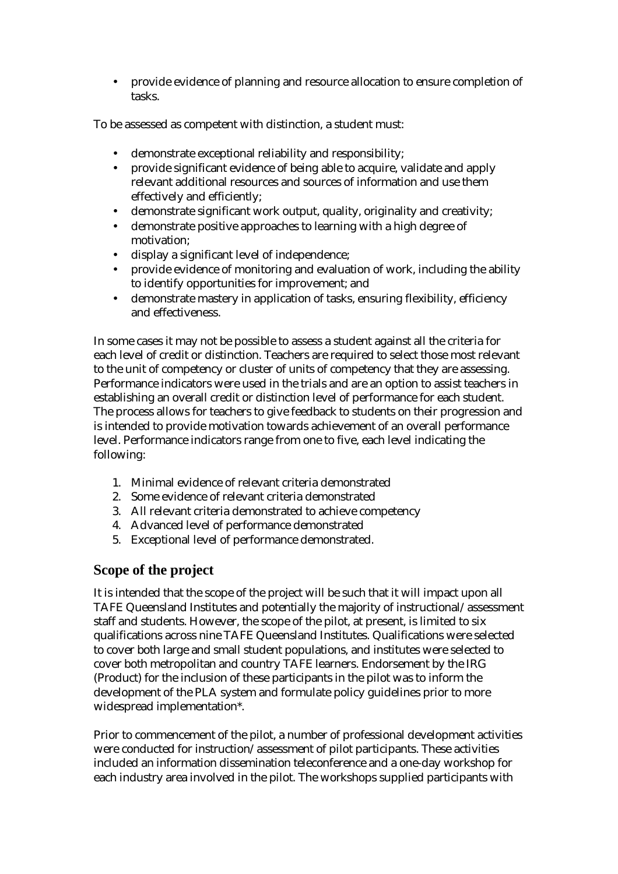• provide evidence of planning and resource allocation to ensure completion of tasks.

To be assessed as competent with distinction, a student must:

- demonstrate exceptional reliability and responsibility;
- provide significant evidence of being able to acquire, validate and apply relevant additional resources and sources of information and use them effectively and efficiently;
- demonstrate significant work output, quality, originality and creativity;
- demonstrate positive approaches to learning with a high degree of motivation;
- display a significant level of independence;
- provide evidence of monitoring and evaluation of work, including the ability to identify opportunities for improvement; and
- demonstrate mastery in application of tasks, ensuring flexibility, efficiency and effectiveness.

In some cases it may not be possible to assess a student against all the criteria for each level of credit or distinction. Teachers are required to select those most relevant to the unit of competency or cluster of units of competency that they are assessing. Performance indicators were used in the trials and are an option to assist teachers in establishing an overall credit or distinction level of performance for each student. The process allows for teachers to give feedback to students on their progression and is intended to provide motivation towards achievement of an overall performance level. Performance indicators range from one to five, each level indicating the following:

- 1. Minimal evidence of relevant criteria demonstrated
- 2. Some evidence of relevant criteria demonstrated
- 3. All relevant criteria demonstrated to achieve competency
- 4. Advanced level of performance demonstrated
- 5. Exceptional level of performance demonstrated.

## **Scope of the project**

It is intended that the scope of the project will be such that it will impact upon all TAFE Queensland Institutes and potentially the majority of instructional/assessment staff and students. However, the scope of the pilot, at present, is limited to six qualifications across nine TAFE Queensland Institutes. Qualifications were selected to cover both large and small student populations, and institutes were selected to cover both metropolitan and country TAFE learners. Endorsement by the IRG (Product) for the inclusion of these participants in the pilot was to inform the development of the PLA system and formulate policy guidelines prior to more widespread implementation\*.

Prior to commencement of the pilot, a number of professional development activities were conducted for instruction/assessment of pilot participants. These activities included an information dissemination teleconference and a one-day workshop for each industry area involved in the pilot. The workshops supplied participants with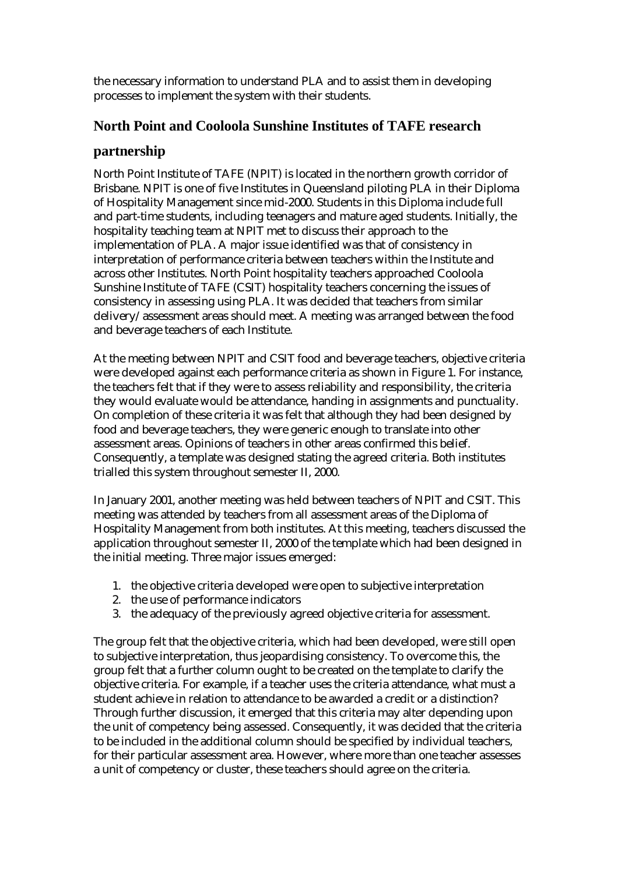the necessary information to understand PLA and to assist them in developing processes to implement the system with their students.

## **North Point and Cooloola Sunshine Institutes of TAFE research**

## **partnership**

North Point Institute of TAFE (NPIT) is located in the northern growth corridor of Brisbane. NPIT is one of five Institutes in Queensland piloting PLA in their Diploma of Hospitality Management since mid-2000. Students in this Diploma include full and part-time students, including teenagers and mature aged students. Initially, the hospitality teaching team at NPIT met to discuss their approach to the implementation of PLA. A major issue identified was that of consistency in interpretation of performance criteria between teachers within the Institute and across other Institutes. North Point hospitality teachers approached Cooloola Sunshine Institute of TAFE (CSIT) hospitality teachers concerning the issues of consistency in assessing using PLA. It was decided that teachers from similar delivery/assessment areas should meet. A meeting was arranged between the food and beverage teachers of each Institute.

At the meeting between NPIT and CSIT food and beverage teachers, objective criteria were developed against each performance criteria as shown in Figure 1. For instance, the teachers felt that if they were to assess reliability and responsibility, the criteria they would evaluate would be attendance, handing in assignments and punctuality. On completion of these criteria it was felt that although they had been designed by food and beverage teachers, they were generic enough to translate into other assessment areas. Opinions of teachers in other areas confirmed this belief. Consequently, a template was designed stating the agreed criteria. Both institutes trialled this system throughout semester II, 2000.

In January 2001, another meeting was held between teachers of NPIT and CSIT. This meeting was attended by teachers from all assessment areas of the Diploma of Hospitality Management from both institutes. At this meeting, teachers discussed the application throughout semester II, 2000 of the template which had been designed in the initial meeting. Three major issues emerged:

- 1. the objective criteria developed were open to subjective interpretation
- 2. the use of performance indicators
- 3. the adequacy of the previously agreed objective criteria for assessment.

The group felt that the objective criteria, which had been developed, were still open to subjective interpretation, thus jeopardising consistency. To overcome this, the group felt that a further column ought to be created on the template to clarify the objective criteria. For example, if a teacher uses the criteria attendance, what must a student achieve in relation to attendance to be awarded a credit or a distinction? Through further discussion, it emerged that this criteria may alter depending upon the unit of competency being assessed. Consequently, it was decided that the criteria to be included in the additional column should be specified by individual teachers, for their particular assessment area. However, where more than one teacher assesses a unit of competency or cluster, these teachers should agree on the criteria.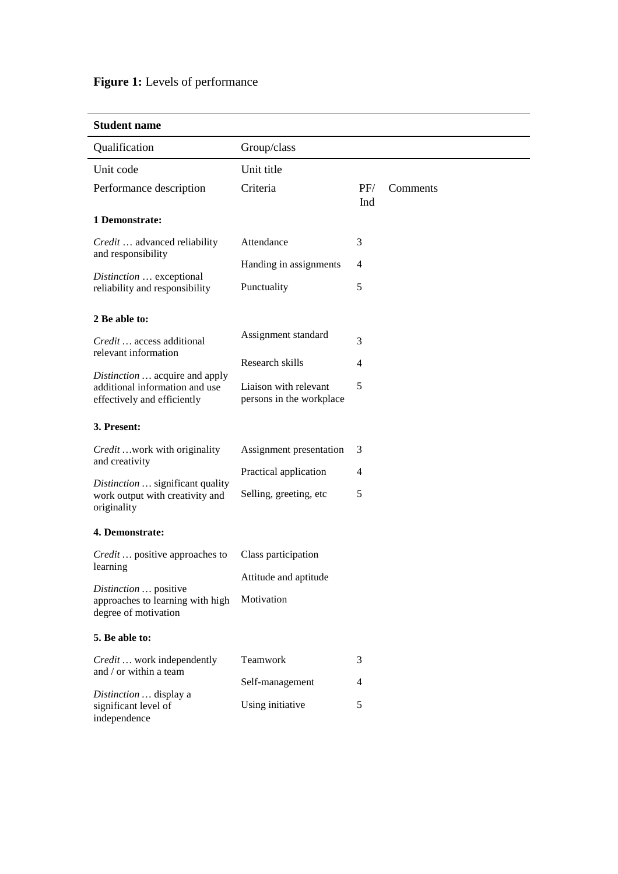# Figure 1: Levels of performance

| Qualification                                                                                   | Group/class                                       |                |          |
|-------------------------------------------------------------------------------------------------|---------------------------------------------------|----------------|----------|
| Unit code                                                                                       | Unit title                                        |                |          |
| Performance description                                                                         | Criteria                                          | PF/<br>Ind     | Comments |
| 1 Demonstrate:                                                                                  |                                                   |                |          |
| Credit  advanced reliability<br>and responsibility                                              | Attendance                                        | 3              |          |
|                                                                                                 | Handing in assignments                            | $\overline{4}$ |          |
| Distinction  exceptional<br>reliability and responsibility                                      | Punctuality                                       | 5              |          |
| 2 Be able to:                                                                                   |                                                   |                |          |
| Credit  access additional                                                                       | Assignment standard                               | 3              |          |
| relevant information                                                                            | Research skills                                   | 4              |          |
| Distinction  acquire and apply<br>additional information and use<br>effectively and efficiently | Liaison with relevant<br>persons in the workplace | 5              |          |
| 3. Present:                                                                                     |                                                   |                |          |
| Credit  work with originality<br>and creativity                                                 | Assignment presentation                           | 3              |          |
| Distinction  significant quality                                                                | Practical application                             | $\overline{4}$ |          |
| work output with creativity and<br>originality                                                  | Selling, greeting, etc                            | 5              |          |
| 4. Demonstrate:                                                                                 |                                                   |                |          |
| <i>Credit</i> positive approaches to<br>learning                                                | Class participation                               |                |          |
|                                                                                                 | Attitude and aptitude                             |                |          |
| Distinction  positive<br>approaches to learning with high<br>degree of motivation               | Motivation                                        |                |          |
| 5. Be able to:                                                                                  |                                                   |                |          |
| Credit  work independently<br>and / or within a team                                            | Teamwork                                          | 3              |          |
|                                                                                                 | Self-management                                   | 4              |          |
| Distinction  display a<br>significant level of<br>independence                                  | Using initiative                                  | 5              |          |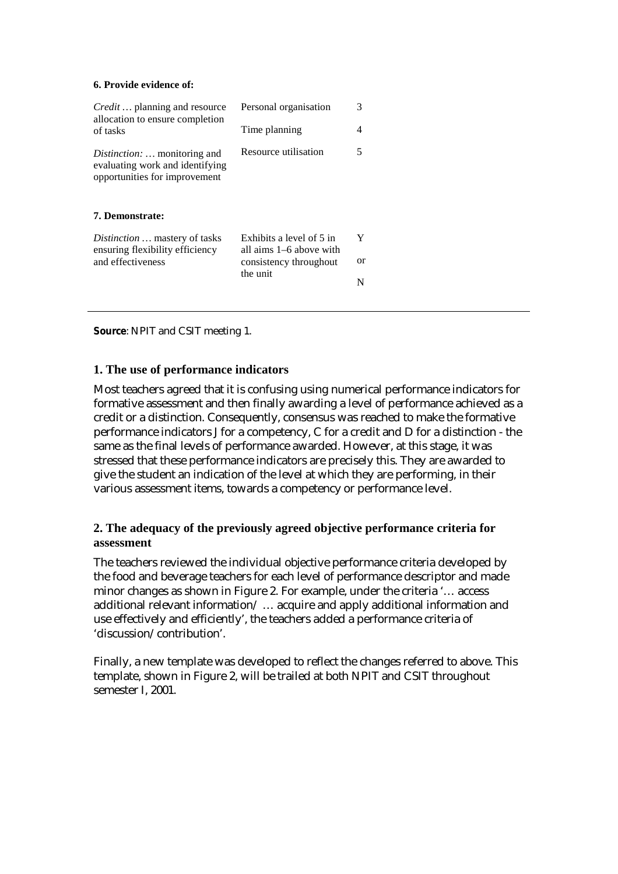#### **6. Provide evidence of:**

| Personal organisation<br>Time planning              | 3<br>4   |
|-----------------------------------------------------|----------|
| Resource utilisation                                | 5        |
|                                                     |          |
| Exhibits a level of 5 in<br>all aims 1–6 above with | Y        |
| consistency throughout                              | or       |
|                                                     | N        |
|                                                     | the unit |

**Source**: NPIT and CSIT meeting 1.

#### **1. The use of performance indicators**

Most teachers agreed that it is confusing using numerical performance indicators for formative assessment and then finally awarding a level of performance achieved as a credit or a distinction. Consequently, consensus was reached to make the formative performance indicators J for a competency, C for a credit and D for a distinction - the same as the final levels of performance awarded. However, at this stage, it was stressed that these performance indicators are precisely this. They are awarded to give the student an indication of the level at which they are performing, in their various assessment items, towards a competency or performance level.

#### **2. The adequacy of the previously agreed objective performance criteria for assessment**

The teachers reviewed the individual objective performance criteria developed by the food and beverage teachers for each level of performance descriptor and made minor changes as shown in Figure 2. For example, under the criteria '… access additional relevant information/ … acquire and apply additional information and use effectively and efficiently', the teachers added a performance criteria of 'discussion/contribution'.

Finally, a new template was developed to reflect the changes referred to above. This template, shown in Figure 2, will be trailed at both NPIT and CSIT throughout semester I, 2001.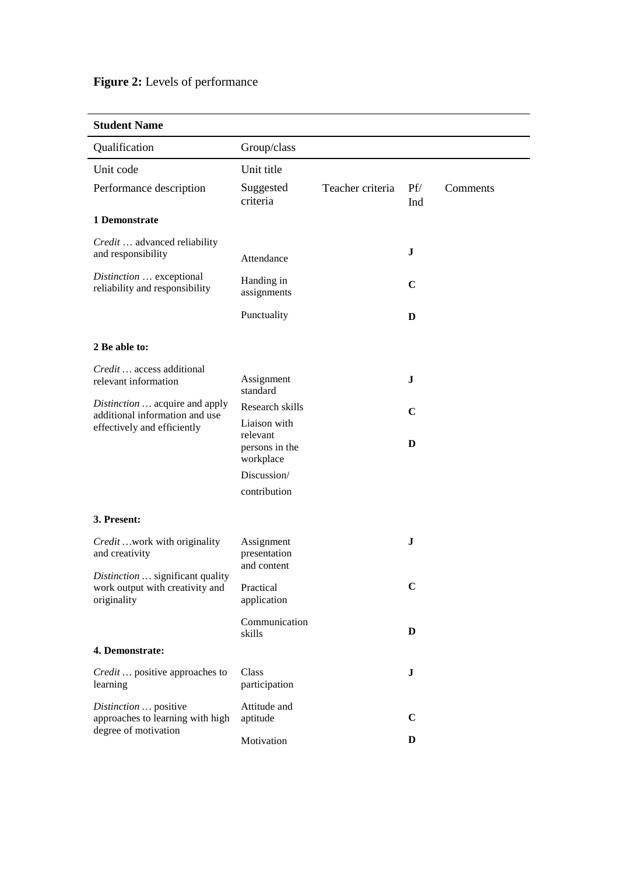## Figure 2: Levels of performance

| Qualification                                                                                   | Group/class                               |                  |             |          |
|-------------------------------------------------------------------------------------------------|-------------------------------------------|------------------|-------------|----------|
| Unit code                                                                                       | Unit title                                |                  |             |          |
| Performance description                                                                         | Suggested<br>criteria                     | Teacher criteria | Pf/<br>Ind  | Comments |
| 1 Demonstrate                                                                                   |                                           |                  |             |          |
| Credit  advanced reliability<br>and responsibility                                              | Attendance                                |                  | $\bf J$     |          |
| Distinction  exceptional<br>reliability and responsibility                                      | Handing in<br>assignments                 |                  | $\mathbf C$ |          |
|                                                                                                 | Punctuality                               |                  | D           |          |
| 2 Be able to:                                                                                   |                                           |                  |             |          |
| Credit  access additional<br>relevant information                                               | Assignment<br>standard                    |                  | $\mathbf J$ |          |
| Distinction  acquire and apply<br>additional information and use<br>effectively and efficiently | Research skills<br>Liaison with           |                  | $\mathbf C$ |          |
|                                                                                                 | relevant<br>persons in the<br>workplace   |                  | D           |          |
|                                                                                                 | Discussion/                               |                  |             |          |
|                                                                                                 | contribution                              |                  |             |          |
| 3. Present:                                                                                     |                                           |                  |             |          |
| Credit  work with originality<br>and creativity                                                 | Assignment<br>presentation<br>and content |                  | J           |          |
| Distinction  significant quality<br>work output with creativity and<br>originality              | Practical<br>application                  |                  | $\mathbf C$ |          |
|                                                                                                 | Communication<br>skills                   |                  | D           |          |
| 4. Demonstrate:                                                                                 |                                           |                  |             |          |
| Credit  positive approaches to<br>learning                                                      | Class<br>participation                    |                  | ${\bf J}$   |          |
| Distinction  positive<br>approaches to learning with high<br>degree of motivation               | Attitude and<br>aptitude                  |                  | $\mathbf C$ |          |
|                                                                                                 | Motivation                                |                  | D           |          |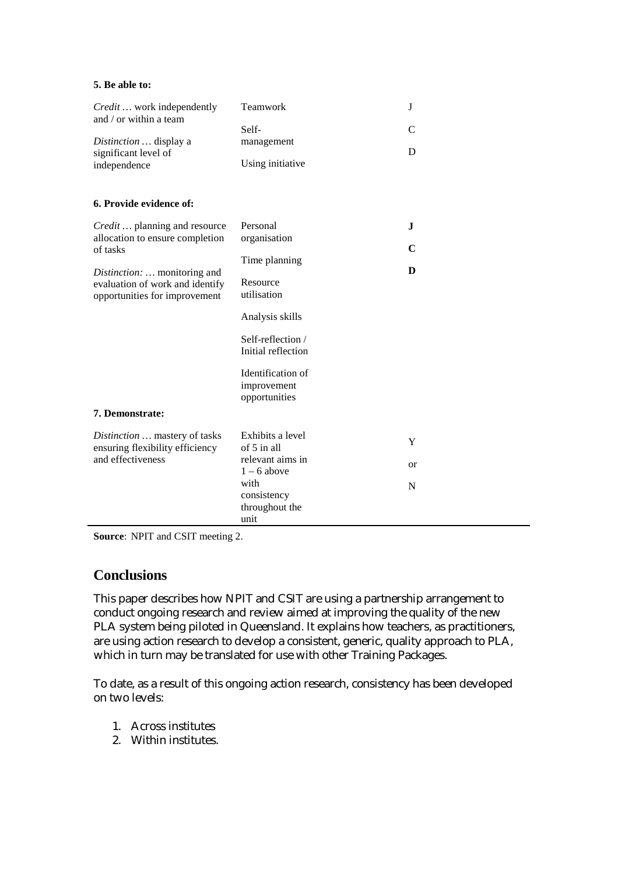#### **5. Be able to:**

| <i>Credit</i> work independently<br>and / or within a team<br>Distinction  display a<br>significant level of<br>independence                                                                        | Teamwork<br>Self-<br>management<br>Using initiative                                                                                                                                     | J<br>C<br>D         |
|-----------------------------------------------------------------------------------------------------------------------------------------------------------------------------------------------------|-----------------------------------------------------------------------------------------------------------------------------------------------------------------------------------------|---------------------|
| 6. Provide evidence of:                                                                                                                                                                             |                                                                                                                                                                                         |                     |
| Credit  planning and resource<br>allocation to ensure completion<br>of tasks<br>Distinction:  monitoring and<br>evaluation of work and identify<br>opportunities for improvement<br>7. Demonstrate: | Personal<br>organisation<br>Time planning<br>Resource<br>utilisation<br>Analysis skills<br>Self-reflection /<br>Initial reflection<br>Identification of<br>improvement<br>opportunities | J<br>C<br>D         |
| Distinction  mastery of tasks<br>ensuring flexibility efficiency<br>and effectiveness                                                                                                               | Exhibits a level<br>of 5 in all<br>relevant aims in<br>$1 - 6$ above<br>with<br>consistency<br>throughout the<br>unit                                                                   | Y<br><b>or</b><br>N |

**Source**: NPIT and CSIT meeting 2.

## **Conclusions**

This paper describes how NPIT and CSIT are using a partnership arrangement to conduct ongoing research and review aimed at improving the quality of the new PLA system being piloted in Queensland. It explains how teachers, as practitioners, are using action research to develop a consistent, generic, quality approach to PLA, which in turn may be translated for use with other Training Packages.

To date, as a result of this ongoing action research, consistency has been developed on two levels:

- 1. Across institutes
- 2. Within institutes.